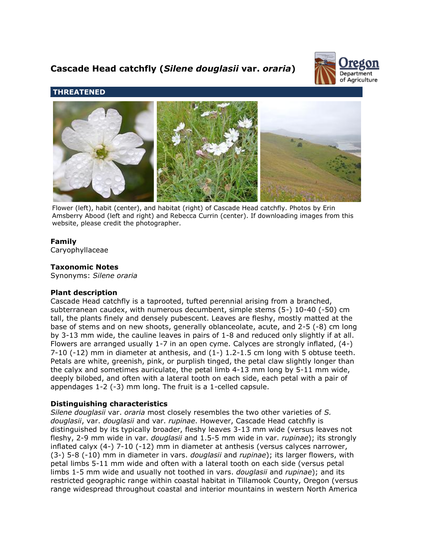# **Cascade Head catchfly (***Silene douglasii* **var.** *oraria***)**



# **THREATENED**



Flower (left), habit (center), and habitat (right) of Cascade Head catchfly. Photos by Erin Amsberry Abood (left and right) and Rebecca Currin (center). If downloading images from this website, please credit the photographer.

# **Family**

Caryophyllaceae

## **Taxonomic Notes**

Synonyms: *Silene oraria*

#### **Plant description**

Cascade Head catchfly is a taprooted, tufted perennial arising from a branched, subterranean caudex, with numerous decumbent, simple stems (5-) 10-40 (-50) cm tall, the plants finely and densely pubescent. Leaves are fleshy, mostly matted at the base of stems and on new shoots, generally oblanceolate, acute, and 2-5 (-8) cm long by 3-13 mm wide, the cauline leaves in pairs of 1-8 and reduced only slightly if at all. Flowers are arranged usually 1-7 in an open cyme. Calyces are strongly inflated, (4-)  $7-10$  ( $-12$ ) mm in diameter at anthesis, and  $(1-)$  1.2-1.5 cm long with 5 obtuse teeth. Petals are white, greenish, pink, or purplish tinged, the petal claw slightly longer than the calyx and sometimes auriculate, the petal limb 4-13 mm long by 5-11 mm wide, deeply bilobed, and often with a lateral tooth on each side, each petal with a pair of appendages 1-2 (-3) mm long. The fruit is a 1-celled capsule.

## **Distinguishing characteristics**

*Silene douglasii* var. *oraria* most closely resembles the two other varieties of *S. douglasii*, var. *douglasii* and var. *rupinae*. However, Cascade Head catchfly is distinguished by its typically broader, fleshy leaves 3-13 mm wide (versus leaves not fleshy, 2-9 mm wide in var. *douglasii* and 1.5-5 mm wide in var. *rupinae*); its strongly inflated calyx (4-) 7-10 (-12) mm in diameter at anthesis (versus calyces narrower, (3-) 5-8 (-10) mm in diameter in vars. *douglasii* and *rupinae*); its larger flowers, with petal limbs 5-11 mm wide and often with a lateral tooth on each side (versus petal limbs 1-5 mm wide and usually not toothed in vars. *douglasii* and *rupinae*); and its restricted geographic range within coastal habitat in Tillamook County, Oregon (versus range widespread throughout coastal and interior mountains in western North America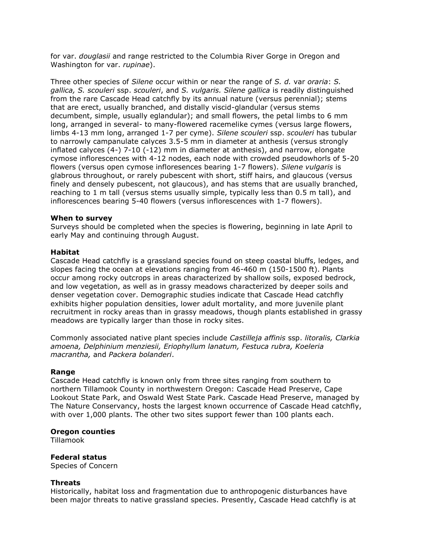for var. *douglasii* and range restricted to the Columbia River Gorge in Oregon and Washington for var. *rupinae*).

Three other species of *Silene* occur within or near the range of *S. d.* var *oraria*: *S. gallica, S. scouleri* ssp. *scouleri*, and *S. vulgaris. Silene gallica* is readily distinguished from the rare Cascade Head catchfly by its annual nature (versus perennial); stems that are erect, usually branched, and distally viscid-glandular (versus stems decumbent, simple, usually eglandular); and small flowers, the petal limbs to 6 mm long, arranged in several- to many-flowered racemelike cymes (versus large flowers, limbs 4-13 mm long, arranged 1-7 per cyme). *Silene scouleri* ssp. *scouleri* has tubular to narrowly campanulate calyces 3.5-5 mm in diameter at anthesis (versus strongly inflated calyces (4-) 7-10 (-12) mm in diameter at anthesis), and narrow, elongate cymose inflorescences with 4-12 nodes, each node with crowded pseudowhorls of 5-20 flowers (versus open cymose infloresences bearing 1-7 flowers). *Silene vulgaris* is glabrous throughout, or rarely pubescent with short, stiff hairs, and glaucous (versus finely and densely pubescent, not glaucous), and has stems that are usually branched, reaching to 1 m tall (versus stems usually simple, typically less than 0.5 m tall), and inflorescences bearing 5-40 flowers (versus inflorescences with 1-7 flowers).

#### **When to survey**

Surveys should be completed when the species is flowering, beginning in late April to early May and continuing through August.

#### **Habitat**

Cascade Head catchfly is a grassland species found on steep coastal bluffs, ledges, and slopes facing the ocean at elevations ranging from 46-460 m (150-1500 ft). Plants occur among rocky outcrops in areas characterized by shallow soils, exposed bedrock, and low vegetation, as well as in grassy meadows characterized by deeper soils and denser vegetation cover. Demographic studies indicate that Cascade Head catchfly exhibits higher population densities, lower adult mortality, and more juvenile plant recruitment in rocky areas than in grassy meadows, though plants established in grassy meadows are typically larger than those in rocky sites.

Commonly associated native plant species include *Castilleja affinis* ssp. *litoralis, Clarkia amoena, Delphinium menziesii, Eriophyllum lanatum, Festuca rubra, Koeleria macrantha,* and *Packera bolanderi*.

#### **Range**

Cascade Head catchfly is known only from three sites ranging from southern to northern Tillamook County in northwestern Oregon: Cascade Head Preserve, Cape Lookout State Park, and Oswald West State Park. Cascade Head Preserve, managed by The Nature Conservancy, hosts the largest known occurrence of Cascade Head catchfly, with over 1,000 plants. The other two sites support fewer than 100 plants each.

#### **Oregon counties**

Tillamook

**Federal status** Species of Concern

#### **Threats**

Historically, habitat loss and fragmentation due to anthropogenic disturbances have been major threats to native grassland species. Presently, Cascade Head catchfly is at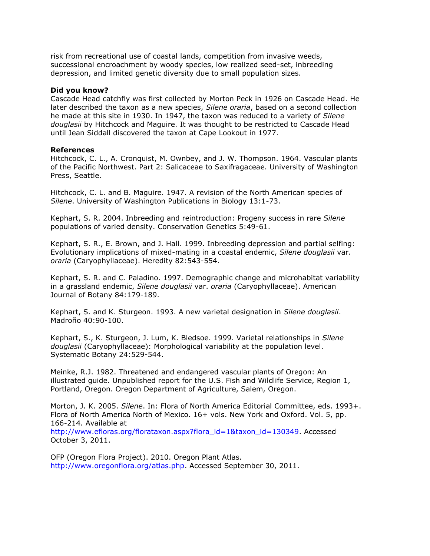risk from recreational use of coastal lands, competition from invasive weeds, successional encroachment by woody species, low realized seed-set, inbreeding depression, and limited genetic diversity due to small population sizes.

#### **Did you know?**

Cascade Head catchfly was first collected by Morton Peck in 1926 on Cascade Head. He later described the taxon as a new species, *Silene oraria*, based on a second collection he made at this site in 1930. In 1947, the taxon was reduced to a variety of *Silene douglasii* by Hitchcock and Maguire. It was thought to be restricted to Cascade Head until Jean Siddall discovered the taxon at Cape Lookout in 1977.

#### **References**

Hitchcock, C. L., A. Cronquist, M. Ownbey, and J. W. Thompson. 1964. Vascular plants of the Pacific Northwest. Part 2: Salicaceae to Saxifragaceae. University of Washington Press, Seattle.

Hitchcock, C. L. and B. Maguire. 1947. A revision of the North American species of *Silene*. University of Washington Publications in Biology 13:1-73.

Kephart, S. R. 2004. Inbreeding and reintroduction: Progeny success in rare *Silene* populations of varied density. Conservation Genetics 5:49-61.

Kephart, S. R., E. Brown, and J. Hall. 1999. Inbreeding depression and partial selfing: Evolutionary implications of mixed-mating in a coastal endemic, *Silene douglasii* var. *oraria* (Caryophyllaceae). Heredity 82:543-554.

Kephart, S. R. and C. Paladino. 1997. Demographic change and microhabitat variability in a grassland endemic, *Silene douglasii* var. *oraria* (Caryophyllaceae). American Journal of Botany 84:179-189.

Kephart, S. and K. Sturgeon. 1993. A new varietal designation in *Silene douglasii*. Madroño 40:90-100.

Kephart, S., K. Sturgeon, J. Lum, K. Bledsoe. 1999. Varietal relationships in *Silene douglasii* (Caryophyllaceae): Morphological variability at the population level. Systematic Botany 24:529-544.

Meinke, R.J. 1982. Threatened and endangered vascular plants of Oregon: An illustrated guide. Unpublished report for the U.S. Fish and Wildlife Service, Region 1, Portland, Oregon. Oregon Department of Agriculture, Salem, Oregon.

Morton, J. K. 2005. *Silene*. In: Flora of North America Editorial Committee, eds. 1993+. Flora of North America North of Mexico. 16+ vols. New York and Oxford. Vol. 5, pp. 166-214. Available at

[http://www.efloras.org/florataxon.aspx?flora\\_id=1&taxon\\_id=130349.](http://www.efloras.org/florataxon.aspx?flora_id=1&taxon_id=130349) Accessed October 3, 2011.

OFP (Oregon Flora Project). 2010. Oregon Plant Atlas. [http://www.oregonflora.org/atlas.php.](http://www.oregonflora.org/atlas.php) Accessed September 30, 2011.